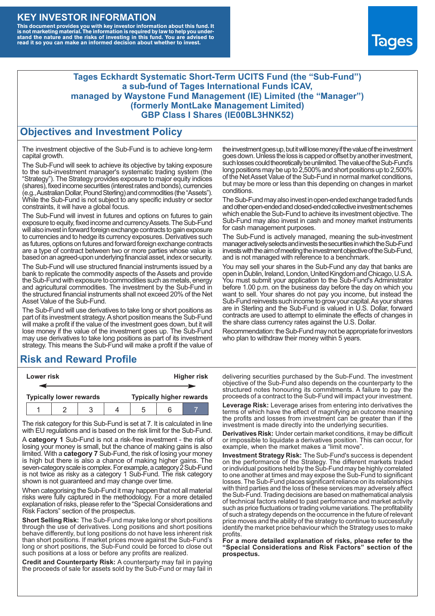### **KEY INVESTOR INFORMATION**

This document provides you with key investor information about this fund. It<br>is not marketing material. The information is required by law to help you under-<br>stand the nature and the risks of investing in this fund. You ar



#### **Tages Eckhardt Systematic Short-Term UCITS Fund (the "Sub-Fund") a sub-fund of Tages International Funds ICAV, managed by Waystone Fund Management (IE) Limited (the "Manager") (formerly MontLake Management Limited) GBP Class I Shares (IE00BL3HNK52)**

#### **Objectives and Investment Policy**

The investment objective of the Sub-Fund is to achieve long-term capital growth.

The Sub-Fund will seek to achieve its objective by taking exposure to the sub-investment manager's systematic trading system (the "Strategy"). The Strategy provides exposure to major equity indices (shares),fixed income securities (interest rates and bonds), currencies (e.g.,AustralianDollar,PoundSterling)and commodities (the "Assets"). While the Sub-Fund is not subject to any specific industry or sector constraints, it will have a global focus.

The Sub-Fund will invest in futures and options on futures to gain exposure to equity, fixed income and currency Assets. The Sub-Fund will also invest in forward foreign exchange contracts to gain exposure to currencies and to hedge its currency exposures. Derivatives such as futures, options on futures and forward foreign exchange contracts are a type of contract between two or more parties whose value is based on an agreed-upon underlying financial asset, index or security.

The Sub-Fund will use structured financial instruments issued by a bank to replicate the commodity aspects of the Assets and provide the Sub-Fund with exposure to commodities such as metals, energy and agricultural commodities. The investment by the Sub-Fund in the structured financial instruments shall not exceed 20% of the Net Asset Value of the Sub-Fund.

The Sub-Fund will use derivatives to take long or short positions as part of its investment strategy.A short position means the Sub-Fund will make a profit if the value of the investment goes down, but it will lose money if the value of the investment goes up. The Sub-Fund may use derivatives to take long positions as part of its investment strategy. This means the Sub-Fund will make a profit if the value of

### **Risk and Reward Profile**

| Lower risk                     |  |  |  | <b>Higher risk</b>              |  |  |  |
|--------------------------------|--|--|--|---------------------------------|--|--|--|
|                                |  |  |  |                                 |  |  |  |
| <b>Typically lower rewards</b> |  |  |  | <b>Typically higher rewards</b> |  |  |  |
|                                |  |  |  | .5                              |  |  |  |

The risk category for this Sub-Fund is set at 7. It is calculated in line with EU regulations and is based on the risk limit for the Sub-Fund.

A **category 1** Sub-Fund is not a risk-free investment - the risk of losing your money is small, but the chance of making gains is also limited. With a **category 7** Sub-Fund, the risk of losing your money is high but there is also a chance of making higher gains. The seven-category scale is complex. For example, a category 2 Sub-Fund is not twice as risky as a category 1 Sub-Fund. The risk category shown is not guaranteed and may change over time.

When categorising the Sub-Fund it may happen that not all material risks were fully captured in the methodology. For a more detailed explanation of risks, please refer to the "Special Considerations and Risk Factors" section of the prospectus.

**Short Selling Risk:** The Sub-Fund may take long or short positions through the use of derivatives. Long positions and short positions behave differently, but long positions do not have less inherent risk than short positions. If market prices move against the Sub-Fund's long or short positions, the Sub-Fund could be forced to close out such positions at a loss or before any profits are realized.

**Credit and Counterparty Risk:** A counterparty may fail in paying the proceeds of sale for assets sold by the Sub-Fund or may fail in the investment goes up, but it will lose money if the value of the investment goes down. Unlessthe loss is capped or offset by another investment, such losses could theoretically be unlimited. The value of the Sub-Fund's long positions may be up to  $2,500\%$  and short positions up to  $2,500\%$ of the NetAsset Value of the Sub-Fund in normal market conditions, but may be more or less than this depending on changes in market conditions.

The Sub-Fund may also invest in open-ended exchange traded funds and other open-ended and closed-ended collective investment schemes which enable the Sub-Fund to achieve its investment objective. The Sub-Fund may also invest in cash and money market instruments for cash management purposes.

The Sub-Fund is actively managed, meaning the sub-investment manager actively selects and invests the securities in which the Sub-Fund invests with the aim of meeting the investment objective of the Sub-Fund, and is not managed with reference to a benchmark.

You may sell your shares in the Sub-Fund any day that banks are open in Dublin, Ireland, London, United Kingdom and Chicago, U.S.A. You must submit your application to the Sub-Fund's Administrator before 1.00 p.m. on the business day before the day on which you want to sell. Your shares do not pay you income, but instead the Sub-Fund reinvests such income to grow your capital. As your shares are in Sterling and the Sub-Fund is valued in U.S. Dollar, forward contracts are used to attempt to eliminate the effects of changes in the share class currency rates against the U.S. Dollar.

Recommendation: the Sub-Fund may not be appropriate for investors who plan to withdraw their money within 5 years.

delivering securities purchased by the Sub-Fund. The investment objective of the Sub-Fund also depends on the counterparty to the structured notes honouring its commitments. A failure to pay the proceeds of a contract to the Sub-Fund will impact your investment.

**Leverage Risk:** Leverage arises from entering into derivatives the terms of which have the effect of magnifying an outcome meaning the profits and losses from investment can be greater than if the investment is made directly into the underlying securities.

**Derivatives Risk:** Under certain market conditions, it may be difficult or impossible to liquidate a derivatives position. This can occur, for example, when the market makes a "limit move".

**Investment Strategy Risk:** The Sub-Fund's success is dependent on the performance of the Strategy. The different markets traded or individual positions held by the Sub-Fund may be highly correlated to one another at times and may expose the Sub-Fund to significant losses. The Sub-Fund places significant reliance on its relationships with third parties and the loss of these services may adversely affect the Sub-Fund. Trading decisions are based on mathematical analysis of technical factors related to past performance and market activity such as price fluctuations or trading volume variations. The profitability of such a strategy depends on the occurrence in the future of relevant price moves and the ability of the strategy to continue to successfully identify the market price behaviour which the Strategy uses to make profits.

**For a more detailed explanation of risks, please refer to the "Special Considerations and Risk Factors" section of the prospectus.**